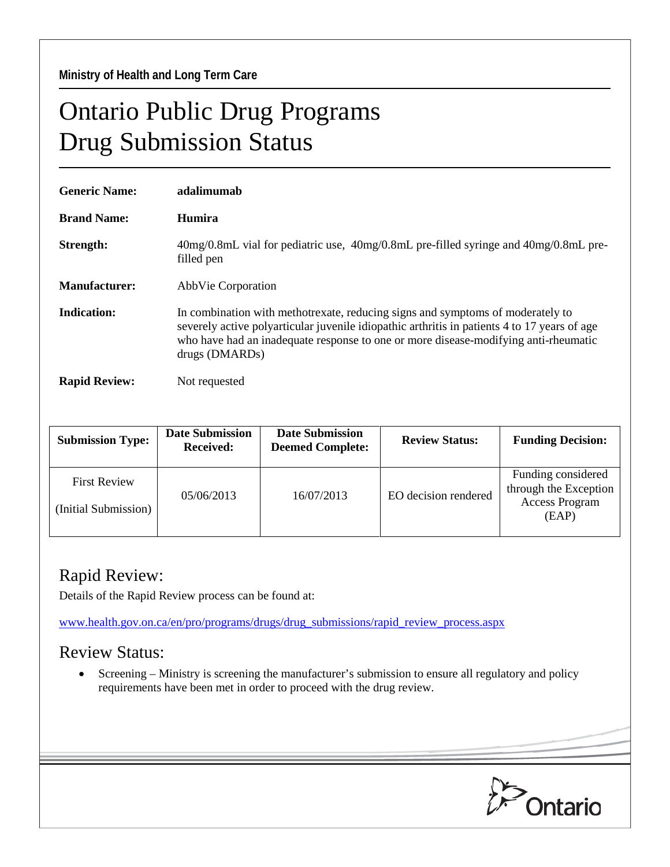**Ministry of Health and Long Term Care** 

## Ontario Public Drug Programs Drug Submission Status

| <b>Generic Name:</b> | adalimumab                                                                                                                                                                                                                                                                              |  |  |
|----------------------|-----------------------------------------------------------------------------------------------------------------------------------------------------------------------------------------------------------------------------------------------------------------------------------------|--|--|
| <b>Brand Name:</b>   | Humira                                                                                                                                                                                                                                                                                  |  |  |
| Strength:            | 40mg/0.8mL vial for pediatric use, 40mg/0.8mL pre-filled syringe and 40mg/0.8mL pre-<br>filled pen                                                                                                                                                                                      |  |  |
| <b>Manufacturer:</b> | AbbVie Corporation                                                                                                                                                                                                                                                                      |  |  |
| Indication:          | In combination with methotrexate, reducing signs and symptoms of moderately to<br>severely active polyarticular juvenile idiopathic arthritis in patients 4 to 17 years of age<br>who have had an inadequate response to one or more disease-modifying anti-rheumatic<br>drugs (DMARDs) |  |  |
| <b>Rapid Review:</b> | Not requested                                                                                                                                                                                                                                                                           |  |  |

| <b>Submission Type:</b>                     | <b>Date Submission</b><br><b>Received:</b> | <b>Date Submission</b><br><b>Deemed Complete:</b> | <b>Review Status:</b> | <b>Funding Decision:</b>                                                      |
|---------------------------------------------|--------------------------------------------|---------------------------------------------------|-----------------------|-------------------------------------------------------------------------------|
| <b>First Review</b><br>(Initial Submission) | 05/06/2013                                 | 16/07/2013                                        | EO decision rendered  | Funding considered<br>through the Exception<br><b>Access Program</b><br>(EAP) |

## Rapid Review:

Details of the Rapid Review process can be found at:

[www.health.gov.on.ca/en/pro/programs/drugs/drug\\_submissions/rapid\\_review\\_process.aspx](http://www.health.gov.on.ca/en/pro/programs/drugs/drug_submissions/rapid_review_process.aspx)

## Review Status:

• Screening – Ministry is screening the manufacturer's submission to ensure all regulatory and policy requirements have been met in order to proceed with the drug review.